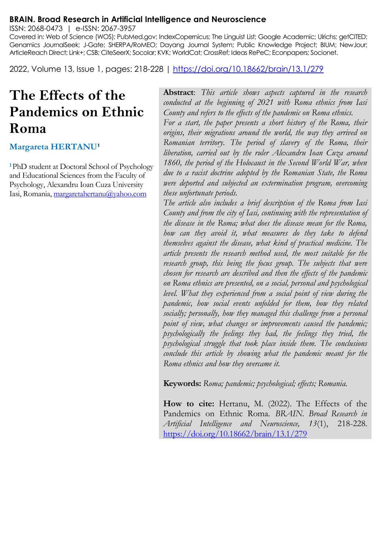#### **BRAIN. Broad Research in Artificial Intelligence and Neuroscience**

ISSN: 2068-0473 | e-ISSN: 2067-3957

Covered in: Web of Science (WOS); PubMed.gov; IndexCopernicus; The Linguist List; Google Academic; Ulrichs; getCITED; Genamics JournalSeek; J-Gate; SHERPA/RoMEO; Dayang Journal System; Public Knowledge Project; BIUM; NewJour; ArticleReach Direct; Link+; CSB; CiteSeerX; Socolar; KVK; WorldCat; CrossRef; Ideas RePeC; Econpapers; Socionet.

2022, Volume 13, Issue 1, pages: 218-228 |<https://doi.org/10.18662/brain/13.1/279>

# **The Effects of the Pandemics on Ethnic Roma**

#### **Margareta HERTANU<sup>1</sup>**

**<sup>1</sup>**PhD student at Doctoral School of Psychology and Educational Sciences from the Faculty of Psychology, Alexandru Ioan Cuza University Iasi, Romania, [margaretahertanu@yahoo.com](mailto:margaretahertanu@yahoo.com)

**Abstract**: *This article shows aspects captured in the research conducted at the beginning of 2021 with Roma ethnics from Iasi County and refers to the effects of the pandemic on Roma ethnics.*

*For a start, the paper presents a short history of the Roma, their origins, their migrations around the world, the way they arrived on Romanian territory. The period of slavery of the Roma, their liberation, carried out by the ruler Alexandru Ioan Cuza around*  1860, the period of the Holocaust in the Second World War, when *due to a racist doctrine adopted by the Romanian State, the Roma were deported and subjected an extermination program, overcoming these unfortunate periods.*

*The article also includes a brief description of the Roma from Iasi County and from the city of Iasi, continuing with the representation of the disease in the Roma; what does the disease mean for the Roma, how can they avoid it, what measures do they take to defend themselves against the disease, what kind of practical medicine. The article presents the research method used, the most suitable for the research group, this being the focus group. The subjects that were chosen for research are described and then the effects of the pandemic on Roma ethnics are presented, on a social, personal and psychological level. What they experienced from a social point of view during the pandemic, how social events unfolded for them, how they related socially; personally, how they managed this challenge from a personal point of view, what changes or improvements caused the pandemic; psychologically the feelings they had, the feelings they tried, the psychological struggle that took place inside them. The conclusions conclude this article by showing what the pandemic meant for the Roma ethnics and how they overcame it.*

**Keywords:** *Roma; pandemic; psychological; effects; Romania.*

**How to cite:** Hertanu, M. (2022). The Effects of the Pandemics on Ethnic Roma. *BRAIN. Broad Research in Artificial Intelligence and Neuroscience, 13*(1), 218-228. <https://doi.org/10.18662/brain/13.1/279>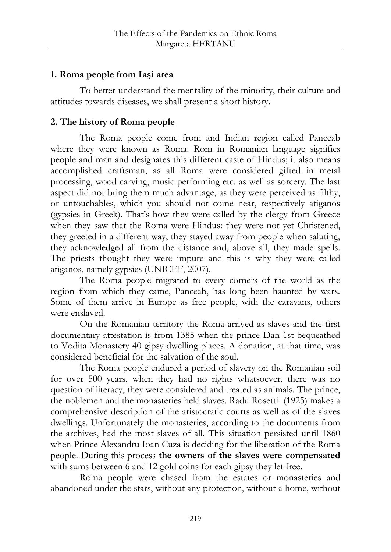## **1. Roma people from Iaşi area**

To better understand the mentality of the minority, their culture and attitudes towards diseases, we shall present a short history.

## **2. The history of Roma people**

The Roma people come from and Indian region called Panceab where they were known as Roma. Rom in Romanian language signifies people and man and designates this different caste of Hindus; it also means accomplished craftsman, as all Roma were considered gifted in metal processing, wood carving, music performing etc. as well as sorcery. The last aspect did not bring them much advantage, as they were perceived as filthy, or untouchables, which you should not come near, respectively atiganos (gypsies in Greek). That's how they were called by the clergy from Greece when they saw that the Roma were Hindus: they were not yet Christened, they greeted in a different way, they stayed away from people when saluting, they acknowledged all from the distance and, above all, they made spells. The priests thought they were impure and this is why they were called atiganos, namely gypsies (UNICEF, 2007).

The Roma people migrated to every corners of the world as the region from which they came, Panceab, has long been haunted by wars. Some of them arrive in Europe as free people, with the caravans, others were enslaved.

On the Romanian territory the Roma arrived as slaves and the first documentary attestation is from 1385 when the prince Dan 1st bequeathed to Vodita Monastery 40 gipsy dwelling places. A donation, at that time, was considered beneficial for the salvation of the soul.

The Roma people endured a period of slavery on the Romanian soil for over 500 years, when they had no rights whatsoever, there was no question of literacy, they were considered and treated as animals. The prince, the noblemen and the monasteries held slaves. Radu Rosetti (1925) makes a comprehensive description of the aristocratic courts as well as of the slaves dwellings. Unfortunately the monasteries, according to the documents from the archives, had the most slaves of all. This situation persisted until 1860 when Prince Alexandru Ioan Cuza is deciding for the liberation of the Roma people. During this process **the owners of the slaves were compensated**  with sums between 6 and 12 gold coins for each gipsy they let free.

Roma people were chased from the estates or monasteries and abandoned under the stars, without any protection, without a home, without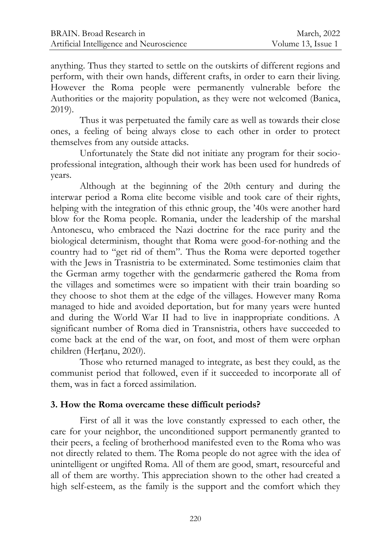anything. Thus they started to settle on the outskirts of different regions and perform, with their own hands, different crafts, in order to earn their living. However the Roma people were permanently vulnerable before the Authorities or the majority population, as they were not welcomed (Banica, 2019).

Thus it was perpetuated the family care as well as towards their close ones, a feeling of being always close to each other in order to protect themselves from any outside attacks.

Unfortunately the State did not initiate any program for their socioprofessional integration, although their work has been used for hundreds of years.

Although at the beginning of the 20th century and during the interwar period a Roma elite become visible and took care of their rights, helping with the integration of this ethnic group, the '40s were another hard blow for the Roma people. Romania, under the leadership of the marshal Antonescu, who embraced the Nazi doctrine for the race purity and the biological determinism, thought that Roma were good-for-nothing and the country had to "get rid of them". Thus the Roma were deported together with the Jews in Trasnistria to be exterminated. Some testimonies claim that the German army together with the gendarmerie gathered the Roma from the villages and sometimes were so impatient with their train boarding so they choose to shot them at the edge of the villages. However many Roma managed to hide and avoided deportation, but for many years were hunted and during the World War II had to live in inappropriate conditions. A significant number of Roma died in Transnistria, others have succeeded to come back at the end of the war, on foot, and most of them were orphan children (Herțanu, 2020).

Those who returned managed to integrate, as best they could, as the communist period that followed, even if it succeeded to incorporate all of them, was in fact a forced assimilation.

## **3. How the Roma overcame these difficult periods?**

First of all it was the love constantly expressed to each other, the care for your neighbor, the unconditioned support permanently granted to their peers, a feeling of brotherhood manifested even to the Roma who was not directly related to them. The Roma people do not agree with the idea of unintelligent or ungifted Roma. All of them are good, smart, resourceful and all of them are worthy. This appreciation shown to the other had created a high self-esteem, as the family is the support and the comfort which they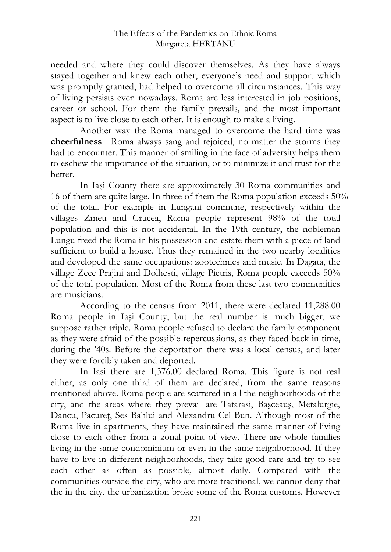needed and where they could discover themselves. As they have always stayed together and knew each other, everyone's need and support which was promptly granted, had helped to overcome all circumstances. This way of living persists even nowadays. Roma are less interested in job positions, career or school. For them the family prevails, and the most important aspect is to live close to each other. It is enough to make a living.

Another way the Roma managed to overcome the hard time was **cheerfulness**. Roma always sang and rejoiced, no matter the storms they had to encounter. This manner of smiling in the face of adversity helps them to eschew the importance of the situation, or to minimize it and trust for the better.

In Iaşi County there are approximately 30 Roma communities and 16 of them are quite large. In three of them the Roma population exceeds 50% of the total. For example in Lungani commune, respectively within the villages Zmeu and Crucea, Roma people represent 98% of the total population and this is not accidental. In the 19th century, the nobleman Lungu freed the Roma in his possession and estate them with a piece of land sufficient to build a house. Thus they remained in the two nearby localities and developed the same occupations: zootechnics and music. In Dagata, the village Zece Prajini and Dolhesti, village Pietris, Roma people exceeds 50% of the total population. Most of the Roma from these last two communities are musicians.

According to the census from 2011, there were declared 11,288.00 Roma people in Iaşi County, but the real number is much bigger, we suppose rather triple. Roma people refused to declare the family component as they were afraid of the possible repercussions, as they faced back in time, during the '40s. Before the deportation there was a local census, and later they were forcibly taken and deported.

In Iaşi there are 1,376.00 declared Roma. This figure is not real either, as only one third of them are declared, from the same reasons mentioned above. Roma people are scattered in all the neighborhoods of the city, and the areas where they prevail are Tatarasi, Başceauş, Metalurgie, Dancu, Pacureţ, Ses Bahlui and Alexandru Cel Bun. Although most of the Roma live in apartments, they have maintained the same manner of living close to each other from a zonal point of view. There are whole families living in the same condominium or even in the same neighborhood. If they have to live in different neighborhoods, they take good care and try to see each other as often as possible, almost daily. Compared with the communities outside the city, who are more traditional, we cannot deny that the in the city, the urbanization broke some of the Roma customs. However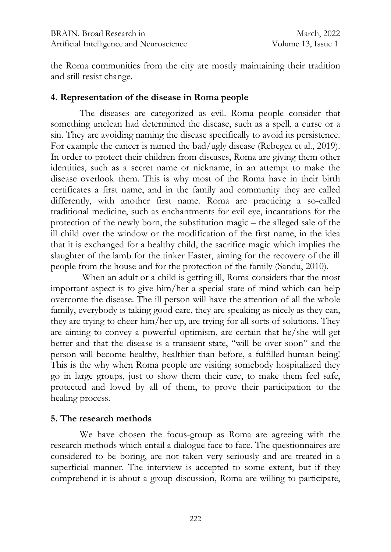the Roma communities from the city are mostly maintaining their tradition and still resist change.

#### **4. Representation of the disease in Roma people**

The diseases are categorized as evil. Roma people consider that something unclean had determined the disease, such as a spell, a curse or a sin. They are avoiding naming the disease specifically to avoid its persistence. For example the cancer is named the bad/ugly disease (Rebegea et al., 2019). In order to protect their children from diseases, Roma are giving them other identities, such as a secret name or nickname, in an attempt to make the disease overlook them. This is why most of the Roma have in their birth certificates a first name, and in the family and community they are called differently, with another first name. Roma are practicing a so-called traditional medicine, such as enchantments for evil eye, incantations for the protection of the newly born, the substitution magic – the alleged sale of the ill child over the window or the modification of the first name, in the idea that it is exchanged for a healthy child, the sacrifice magic which implies the slaughter of the lamb for the tinker Easter, aiming for the recovery of the ill people from the house and for the protection of the family (Sandu, 2010).

When an adult or a child is getting ill, Roma considers that the most important aspect is to give him/her a special state of mind which can help overcome the disease. The ill person will have the attention of all the whole family, everybody is taking good care, they are speaking as nicely as they can, they are trying to cheer him/her up, are trying for all sorts of solutions. They are aiming to convey a powerful optimism, are certain that he/she will get better and that the disease is a transient state, "will be over soon" and the person will become healthy, healthier than before, a fulfilled human being! This is the why when Roma people are visiting somebody hospitalized they go in large groups, just to show them their care, to make them feel safe, protected and loved by all of them, to prove their participation to the healing process.

## **5. The research methods**

We have chosen the focus-group as Roma are agreeing with the research methods which entail a dialogue face to face. The questionnaires are considered to be boring, are not taken very seriously and are treated in a superficial manner. The interview is accepted to some extent, but if they comprehend it is about a group discussion, Roma are willing to participate,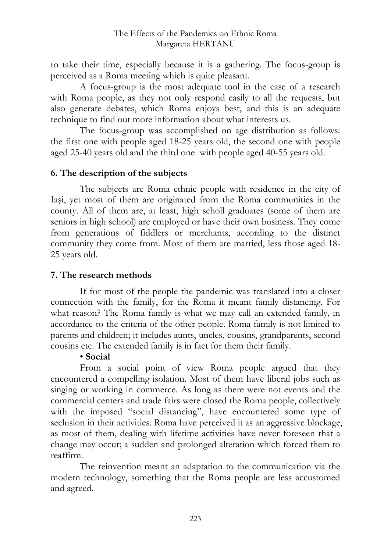to take their time, especially because it is a gathering. The focus-group is perceived as a Roma meeting which is quite pleasant.

A focus-group is the most adequate tool in the case of a research with Roma people, as they not only respond easily to all the requests, but also generate debates, which Roma enjoys best, and this is an adequate technique to find out more information about what interests us.

The focus-group was accomplished on age distribution as follows: the first one with people aged 18-25 years old, the second one with people aged 25-40 years old and the third one with people aged 40-55 years old.

### **6. The description of the subjects**

The subjects are Roma ethnic people with residence in the city of Iaşi, yet most of them are originated from the Roma communities in the county. All of them are, at least, high scholl graduates (some of them are seniors in high school) are employed or have their own business. They come from generations of fiddlers or merchants, according to the distinct community they come from. Most of them are married, less those aged 18- 25 years old.

#### **7. The research methods**

If for most of the people the pandemic was translated into a closer connection with the family, for the Roma it meant family distancing. For what reason? The Roma family is what we may call an extended family, in accordance to the criteria of the other people. Roma family is not limited to parents and children; it includes aunts, uncles, cousins, grandparents, second cousins etc. The extended family is in fact for them their family.

#### • **Social**

From a social point of view Roma people argued that they encountered a compelling isolation. Most of them have liberal jobs such as singing or working in commerce. As long as there were not events and the commercial centers and trade fairs were closed the Roma people, collectively with the imposed "social distancing", have encountered some type of seclusion in their activities. Roma have perceived it as an aggressive blockage, as most of them, dealing with lifetime activities have never foreseen that a change may occur; a sudden and prolonged alteration which forced them to reaffirm.

The reinvention meant an adaptation to the communication via the modern technology, something that the Roma people are less accustomed and agreed.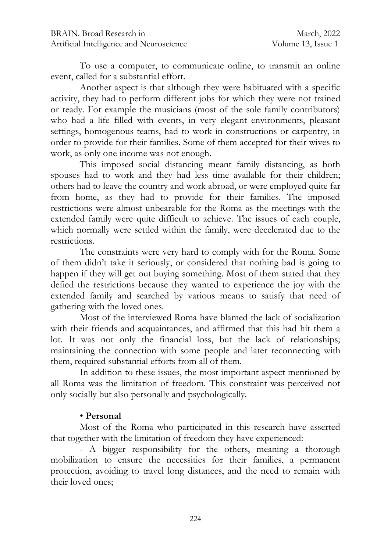To use a computer, to communicate online, to transmit an online event, called for a substantial effort.

Another aspect is that although they were habituated with a specific activity, they had to perform different jobs for which they were not trained or ready. For example the musicians (most of the sole family contributors) who had a life filled with events, in very elegant environments, pleasant settings, homogenous teams, had to work in constructions or carpentry, in order to provide for their families. Some of them accepted for their wives to work, as only one income was not enough.

This imposed social distancing meant family distancing, as both spouses had to work and they had less time available for their children; others had to leave the country and work abroad, or were employed quite far from home, as they had to provide for their families. The imposed restrictions were almost unbearable for the Roma as the meetings with the extended family were quite difficult to achieve. The issues of each couple, which normally were settled within the family, were decelerated due to the restrictions.

The constraints were very hard to comply with for the Roma. Some of them didn't take it seriously, or considered that nothing bad is going to happen if they will get out buying something. Most of them stated that they defied the restrictions because they wanted to experience the joy with the extended family and searched by various means to satisfy that need of gathering with the loved ones.

Most of the interviewed Roma have blamed the lack of socialization with their friends and acquaintances, and affirmed that this had hit them a lot. It was not only the financial loss, but the lack of relationships; maintaining the connection with some people and later reconnecting with them, required substantial efforts from all of them.

In addition to these issues, the most important aspect mentioned by all Roma was the limitation of freedom. This constraint was perceived not only socially but also personally and psychologically.

## • **Personal**

Most of the Roma who participated in this research have asserted that together with the limitation of freedom they have experienced:

- A bigger responsibility for the others, meaning a thorough mobilization to ensure the necessities for their families, a permanent protection, avoiding to travel long distances, and the need to remain with their loved ones;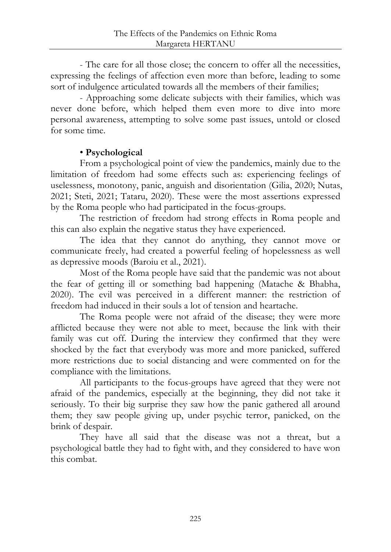- The care for all those close; the concern to offer all the necessities, expressing the feelings of affection even more than before, leading to some sort of indulgence articulated towards all the members of their families;

- Approaching some delicate subjects with their families, which was never done before, which helped them even more to dive into more personal awareness, attempting to solve some past issues, untold or closed for some time.

# • **Psychological**

From a psychological point of view the pandemics, mainly due to the limitation of freedom had some effects such as: experiencing feelings of uselessness, monotony, panic, anguish and disorientation (Gilia, 2020; Nutas, 2021; Steti, 2021; Tataru, 2020). These were the most assertions expressed by the Roma people who had participated in the focus-groups.

The restriction of freedom had strong effects in Roma people and this can also explain the negative status they have experienced.

The idea that they cannot do anything, they cannot move or communicate freely, had created a powerful feeling of hopelessness as well as depressive moods (Baroiu et al., 2021).

Most of the Roma people have said that the pandemic was not about the fear of getting ill or something bad happening (Matache & Bhabha, 2020). The evil was perceived in a different manner: the restriction of freedom had induced in their souls a lot of tension and heartache.

The Roma people were not afraid of the disease; they were more afflicted because they were not able to meet, because the link with their family was cut off. During the interview they confirmed that they were shocked by the fact that everybody was more and more panicked, suffered more restrictions due to social distancing and were commented on for the compliance with the limitations.

All participants to the focus-groups have agreed that they were not afraid of the pandemics, especially at the beginning, they did not take it seriously. To their big surprise they saw how the panic gathered all around them; they saw people giving up, under psychic terror, panicked, on the brink of despair.

They have all said that the disease was not a threat, but a psychological battle they had to fight with, and they considered to have won this combat.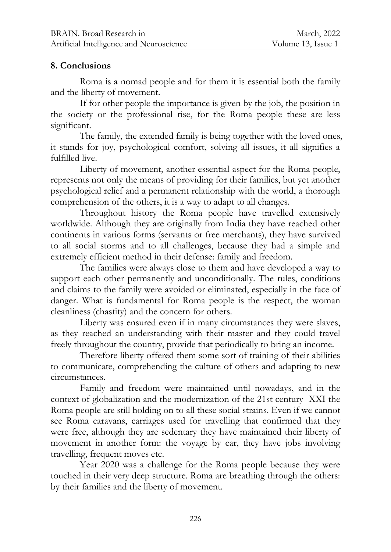#### **8. Conclusions**

Roma is a nomad people and for them it is essential both the family and the liberty of movement.

If for other people the importance is given by the job, the position in the society or the professional rise, for the Roma people these are less significant.

The family, the extended family is being together with the loved ones, it stands for joy, psychological comfort, solving all issues, it all signifies a fulfilled live.

Liberty of movement, another essential aspect for the Roma people, represents not only the means of providing for their families, but yet another psychological relief and a permanent relationship with the world, a thorough comprehension of the others, it is a way to adapt to all changes.

Throughout history the Roma people have travelled extensively worldwide. Although they are originally from India they have reached other continents in various forms (servants or free merchants), they have survived to all social storms and to all challenges, because they had a simple and extremely efficient method in their defense: family and freedom.

The families were always close to them and have developed a way to support each other permanently and unconditionally. The rules, conditions and claims to the family were avoided or eliminated, especially in the face of danger. What is fundamental for Roma people is the respect, the woman cleanliness (chastity) and the concern for others.

Liberty was ensured even if in many circumstances they were slaves, as they reached an understanding with their master and they could travel freely throughout the country, provide that periodically to bring an income.

Therefore liberty offered them some sort of training of their abilities to communicate, comprehending the culture of others and adapting to new circumstances.

Family and freedom were maintained until nowadays, and in the context of globalization and the modernization of the 21st century XXI the Roma people are still holding on to all these social strains. Even if we cannot see Roma caravans, carriages used for travelling that confirmed that they were free, although they are sedentary they have maintained their liberty of movement in another form: the voyage by car, they have jobs involving travelling, frequent moves etc.

Year 2020 was a challenge for the Roma people because they were touched in their very deep structure. Roma are breathing through the others: by their families and the liberty of movement.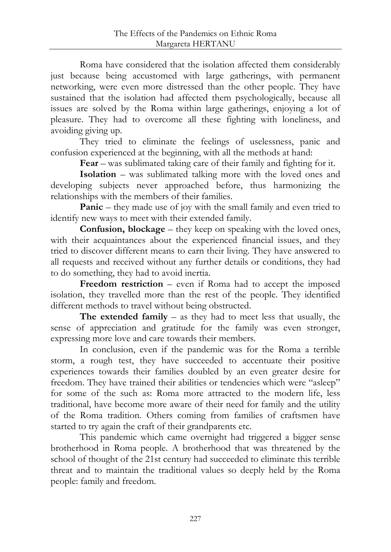Roma have considered that the isolation affected them considerably just because being accustomed with large gatherings, with permanent networking, were even more distressed than the other people. They have sustained that the isolation had affected them psychologically, because all issues are solved by the Roma within large gatherings, enjoying a lot of pleasure. They had to overcome all these fighting with loneliness, and avoiding giving up.

They tried to eliminate the feelings of uselessness, panic and confusion experienced at the beginning, with all the methods at hand:

**Fear** – was sublimated taking care of their family and fighting for it.

**Isolation** – was sublimated talking more with the loved ones and developing subjects never approached before, thus harmonizing the relationships with the members of their families.

**Panic** – they made use of joy with the small family and even tried to identify new ways to meet with their extended family.

**Confusion, blockage** – they keep on speaking with the loved ones, with their acquaintances about the experienced financial issues, and they tried to discover different means to earn their living. They have answered to all requests and received without any further details or conditions, they had to do something, they had to avoid inertia.

**Freedom restriction** – even if Roma had to accept the imposed isolation, they travelled more than the rest of the people. They identified different methods to travel without being obstructed.

**The extended family** – as they had to meet less that usually, the sense of appreciation and gratitude for the family was even stronger, expressing more love and care towards their members.

In conclusion, even if the pandemic was for the Roma a terrible storm, a rough test, they have succeeded to accentuate their positive experiences towards their families doubled by an even greater desire for freedom. They have trained their abilities or tendencies which were "asleep" for some of the such as: Roma more attracted to the modern life, less traditional, have become more aware of their need for family and the utility of the Roma tradition. Others coming from families of craftsmen have started to try again the craft of their grandparents etc.

This pandemic which came overnight had triggered a bigger sense brotherhood in Roma people. A brotherhood that was threatened by the school of thought of the 21st century had succeeded to eliminate this terrible threat and to maintain the traditional values so deeply held by the Roma people: family and freedom.